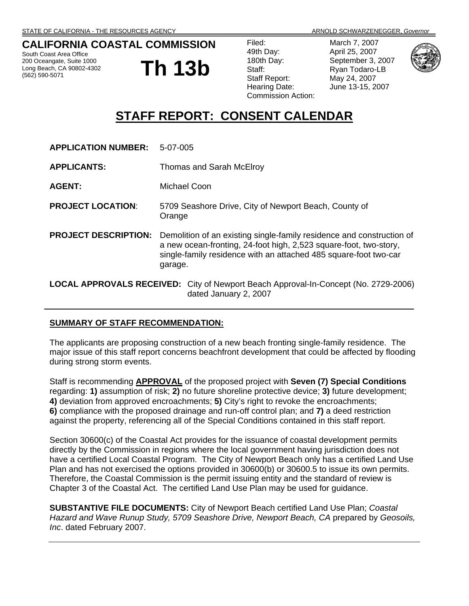# **CALIFORNIA COASTAL COMMISSION**

South Coast Area Office 200 Oceangate, Suite 1000 Long Beach, CA 90802-4302 (562) 590-5071

**Th 13b** 

| Filed:                    |
|---------------------------|
| 49th Day:                 |
| 180th Day:                |
| Staff:                    |
| <b>Staff Report:</b>      |
| Hearing Date:             |
| <b>Commission Action:</b> |

March 7, 2007 April 25, 2007 September 3, 2007 Ryan Todaro-LB May 24, 2007 June 13-15, 2007



# **STAFF REPORT: CONSENT CALENDAR**

| <b>APPLICATION NUMBER:</b>  | 5-07-005                                                                                                                                                                                                                  |
|-----------------------------|---------------------------------------------------------------------------------------------------------------------------------------------------------------------------------------------------------------------------|
| <b>APPLICANTS:</b>          | Thomas and Sarah McElroy                                                                                                                                                                                                  |
| <b>AGENT:</b>               | Michael Coon                                                                                                                                                                                                              |
| <b>PROJECT LOCATION:</b>    | 5709 Seashore Drive, City of Newport Beach, County of<br>Orange                                                                                                                                                           |
| <b>PROJECT DESCRIPTION:</b> | Demolition of an existing single-family residence and construction of<br>a new ocean-fronting, 24-foot high, 2,523 square-foot, two-story,<br>single-family residence with an attached 485 square-foot two-car<br>garage. |
|                             | <b>LOCAL APPROVALS RECEIVED:</b> City of Newport Beach Approval-In-Concept (No. 2729-2006)<br>dated January 2, 2007                                                                                                       |

#### **SUMMARY OF STAFF RECOMMENDATION:**

The applicants are proposing construction of a new beach fronting single-family residence. The major issue of this staff report concerns beachfront development that could be affected by flooding during strong storm events.

Staff is recommending **APPROVAL** of the proposed project with **Seven (7) Special Conditions**  regarding: **1)** assumption of risk; **2)** no future shoreline protective device; **3)** future development; **4)** deviation from approved encroachments; **5)** City's right to revoke the encroachments; **6)** compliance with the proposed drainage and run-off control plan; and **7)** a deed restriction against the property, referencing all of the Special Conditions contained in this staff report.

Section 30600(c) of the Coastal Act provides for the issuance of coastal development permits directly by the Commission in regions where the local government having jurisdiction does not have a certified Local Coastal Program. The City of Newport Beach only has a certified Land Use Plan and has not exercised the options provided in 30600(b) or 30600.5 to issue its own permits. Therefore, the Coastal Commission is the permit issuing entity and the standard of review is Chapter 3 of the Coastal Act. The certified Land Use Plan may be used for guidance.

**SUBSTANTIVE FILE DOCUMENTS:** City of Newport Beach certified Land Use Plan; *Coastal Hazard and Wave Runup Study, 5709 Seashore Drive, Newport Beach, CA* prepared by *Geosoils, Inc*. dated February 2007.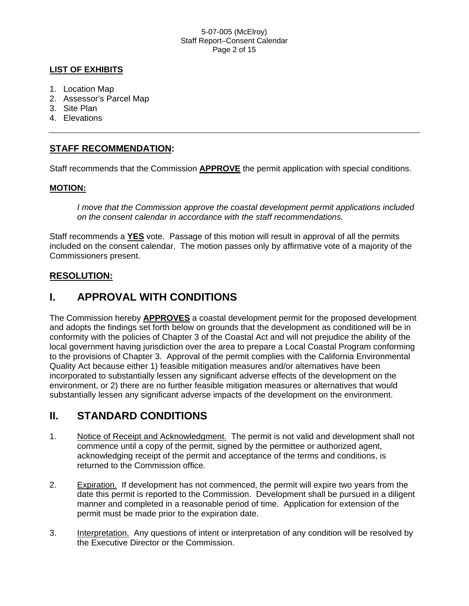#### 5-07-005 (McElroy) Staff Report–Consent Calendar Page 2 of 15

### **LIST OF EXHIBITS**

- 1. Location Map
- 2. Assessor's Parcel Map
- 3. Site Plan
- 4. Elevations

### **STAFF RECOMMENDATION:**

Staff recommends that the Commission **APPROVE** the permit application with special conditions.

#### **MOTION:**

*I move that the Commission approve the coastal development permit applications included on the consent calendar in accordance with the staff recommendations.*

Staff recommends a **YES** vote. Passage of this motion will result in approval of all the permits included on the consent calendar. The motion passes only by affirmative vote of a majority of the Commissioners present.

### **RESOLUTION:**

## **I. APPROVAL WITH CONDITIONS**

The Commission hereby **APPROVES** a coastal development permit for the proposed development and adopts the findings set forth below on grounds that the development as conditioned will be in conformity with the policies of Chapter 3 of the Coastal Act and will not prejudice the ability of the local government having jurisdiction over the area to prepare a Local Coastal Program conforming to the provisions of Chapter 3. Approval of the permit complies with the California Environmental Quality Act because either 1) feasible mitigation measures and/or alternatives have been incorporated to substantially lessen any significant adverse effects of the development on the environment, or 2) there are no further feasible mitigation measures or alternatives that would substantially lessen any significant adverse impacts of the development on the environment.

# **II. STANDARD CONDITIONS**

- 1. Notice of Receipt and Acknowledgment. The permit is not valid and development shall not commence until a copy of the permit, signed by the permittee or authorized agent, acknowledging receipt of the permit and acceptance of the terms and conditions, is returned to the Commission office.
- 2. Expiration. If development has not commenced, the permit will expire two years from the date this permit is reported to the Commission. Development shall be pursued in a diligent manner and completed in a reasonable period of time. Application for extension of the permit must be made prior to the expiration date.
- 3. Interpretation. Any questions of intent or interpretation of any condition will be resolved by the Executive Director or the Commission.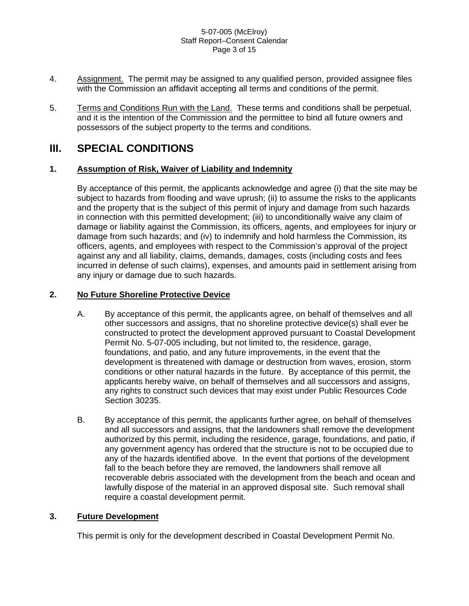#### 5-07-005 (McElroy) Staff Report–Consent Calendar Page 3 of 15

- 4. Assignment. The permit may be assigned to any qualified person, provided assignee files with the Commission an affidavit accepting all terms and conditions of the permit.
- 5. Terms and Conditions Run with the Land. These terms and conditions shall be perpetual, and it is the intention of the Commission and the permittee to bind all future owners and possessors of the subject property to the terms and conditions.

# **III. SPECIAL CONDITIONS**

#### **1. Assumption of Risk, Waiver of Liability and Indemnity**

 By acceptance of this permit, the applicants acknowledge and agree (i) that the site may be subject to hazards from flooding and wave uprush; (ii) to assume the risks to the applicants and the property that is the subject of this permit of injury and damage from such hazards in connection with this permitted development; (iii) to unconditionally waive any claim of damage or liability against the Commission, its officers, agents, and employees for injury or damage from such hazards; and (iv) to indemnify and hold harmless the Commission, its officers, agents, and employees with respect to the Commission's approval of the project against any and all liability, claims, demands, damages, costs (including costs and fees incurred in defense of such claims), expenses, and amounts paid in settlement arising from any injury or damage due to such hazards.

### **2. No Future Shoreline Protective Device**

- A. By acceptance of this permit, the applicants agree, on behalf of themselves and all other successors and assigns, that no shoreline protective device(s) shall ever be constructed to protect the development approved pursuant to Coastal Development Permit No. 5-07-005 including, but not limited to, the residence, garage, foundations, and patio, and any future improvements, in the event that the development is threatened with damage or destruction from waves, erosion, storm conditions or other natural hazards in the future. By acceptance of this permit, the applicants hereby waive, on behalf of themselves and all successors and assigns, any rights to construct such devices that may exist under Public Resources Code Section 30235.
- B. By acceptance of this permit, the applicants further agree, on behalf of themselves and all successors and assigns, that the landowners shall remove the development authorized by this permit, including the residence, garage, foundations, and patio, if any government agency has ordered that the structure is not to be occupied due to any of the hazards identified above. In the event that portions of the development fall to the beach before they are removed, the landowners shall remove all recoverable debris associated with the development from the beach and ocean and lawfully dispose of the material in an approved disposal site. Such removal shall require a coastal development permit.

#### **3. Future Development**

This permit is only for the development described in Coastal Development Permit No.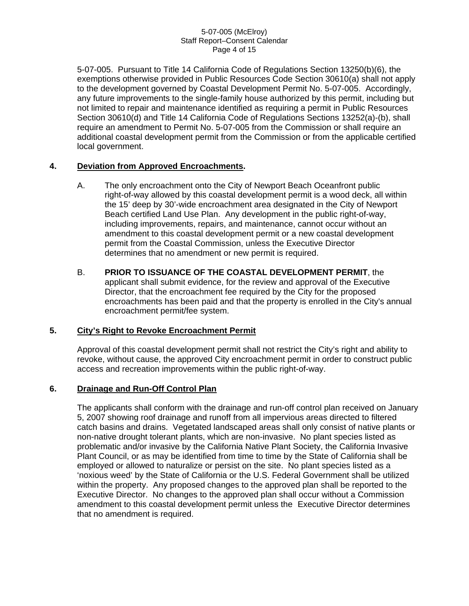#### 5-07-005 (McElroy) Staff Report–Consent Calendar Page 4 of 15

 5-07-005. Pursuant to Title 14 California Code of Regulations Section 13250(b)(6), the exemptions otherwise provided in Public Resources Code Section 30610(a) shall not apply to the development governed by Coastal Development Permit No. 5-07-005. Accordingly, any future improvements to the single-family house authorized by this permit, including but not limited to repair and maintenance identified as requiring a permit in Public Resources Section 30610(d) and Title 14 California Code of Regulations Sections 13252(a)-(b), shall require an amendment to Permit No. 5-07-005 from the Commission or shall require an additional coastal development permit from the Commission or from the applicable certified local government.

### **4. Deviation from Approved Encroachments.**

- A. The only encroachment onto the City of Newport Beach Oceanfront public right-of-way allowed by this coastal development permit is a wood deck, all within the 15' deep by 30'-wide encroachment area designated in the City of Newport Beach certified Land Use Plan. Any development in the public right-of-way, including improvements, repairs, and maintenance, cannot occur without an amendment to this coastal development permit or a new coastal development permit from the Coastal Commission, unless the Executive Director determines that no amendment or new permit is required.
- B. **PRIOR TO ISSUANCE OF THE COASTAL DEVELOPMENT PERMIT**, the applicant shall submit evidence, for the review and approval of the Executive Director, that the encroachment fee required by the City for the proposed encroachments has been paid and that the property is enrolled in the City's annual encroachment permit/fee system.

#### **5. City's Right to Revoke Encroachment Permit**

 Approval of this coastal development permit shall not restrict the City's right and ability to revoke, without cause, the approved City encroachment permit in order to construct public access and recreation improvements within the public right-of-way.

#### **6. Drainage and Run-Off Control Plan**

 The applicants shall conform with the drainage and run-off control plan received on January 5, 2007 showing roof drainage and runoff from all impervious areas directed to filtered catch basins and drains. Vegetated landscaped areas shall only consist of native plants or non-native drought tolerant plants, which are non-invasive. No plant species listed as problematic and/or invasive by the California Native Plant Society, the California Invasive Plant Council, or as may be identified from time to time by the State of California shall be employed or allowed to naturalize or persist on the site. No plant species listed as a 'noxious weed' by the State of California or the U.S. Federal Government shall be utilized within the property. Any proposed changes to the approved plan shall be reported to the Executive Director. No changes to the approved plan shall occur without a Commission amendment to this coastal development permit unless the Executive Director determines that no amendment is required.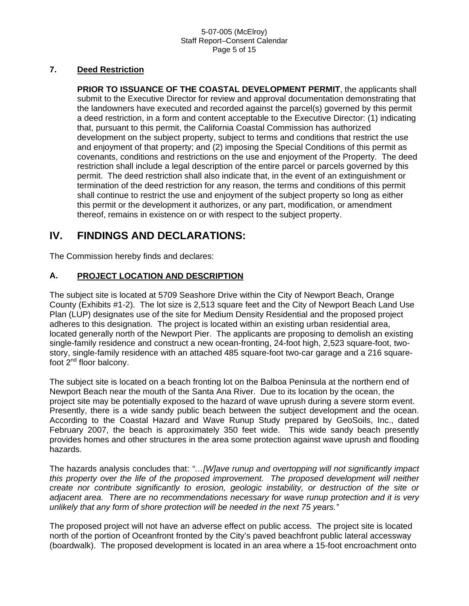#### **7. Deed Restriction**

 **PRIOR TO ISSUANCE OF THE COASTAL DEVELOPMENT PERMIT**, the applicants shall submit to the Executive Director for review and approval documentation demonstrating that the landowners have executed and recorded against the parcel(s) governed by this permit a deed restriction, in a form and content acceptable to the Executive Director: (1) indicating that, pursuant to this permit, the California Coastal Commission has authorized development on the subject property, subject to terms and conditions that restrict the use and enjoyment of that property; and (2) imposing the Special Conditions of this permit as covenants, conditions and restrictions on the use and enjoyment of the Property. The deed restriction shall include a legal description of the entire parcel or parcels governed by this permit. The deed restriction shall also indicate that, in the event of an extinguishment or termination of the deed restriction for any reason, the terms and conditions of this permit shall continue to restrict the use and enjoyment of the subject property so long as either this permit or the development it authorizes, or any part, modification, or amendment thereof, remains in existence on or with respect to the subject property.

# **IV. FINDINGS AND DECLARATIONS:**

The Commission hereby finds and declares:

### **A. PROJECT LOCATION AND DESCRIPTION**

The subject site is located at 5709 Seashore Drive within the City of Newport Beach, Orange County (Exhibits #1-2). The lot size is 2,513 square feet and the City of Newport Beach Land Use Plan (LUP) designates use of the site for Medium Density Residential and the proposed project adheres to this designation. The project is located within an existing urban residential area, located generally north of the Newport Pier. The applicants are proposing to demolish an existing single-family residence and construct a new ocean-fronting, 24-foot high, 2,523 square-foot, twostory, single-family residence with an attached 485 square-foot two-car garage and a 216 squarefoot  $2^{nd}$  floor balcony.

The subject site is located on a beach fronting lot on the Balboa Peninsula at the northern end of Newport Beach near the mouth of the Santa Ana River. Due to its location by the ocean, the project site may be potentially exposed to the hazard of wave uprush during a severe storm event. Presently, there is a wide sandy public beach between the subject development and the ocean. According to the Coastal Hazard and Wave Runup Study prepared by GeoSoils, Inc., dated February 2007, the beach is approximately 350 feet wide. This wide sandy beach presently provides homes and other structures in the area some protection against wave uprush and flooding hazards.

The hazards analysis concludes that: *"…[W]ave runup and overtopping will not significantly impact this property over the life of the proposed improvement. The proposed development will neither create nor contribute significantly to erosion, geologic instability, or destruction of the site or adjacent area. There are no recommendations necessary for wave runup protection and it is very unlikely that any form of shore protection will be needed in the next 75 years."*

The proposed project will not have an adverse effect on public access. The project site is located north of the portion of Oceanfront fronted by the City's paved beachfront public lateral accessway (boardwalk). The proposed development is located in an area where a 15-foot encroachment onto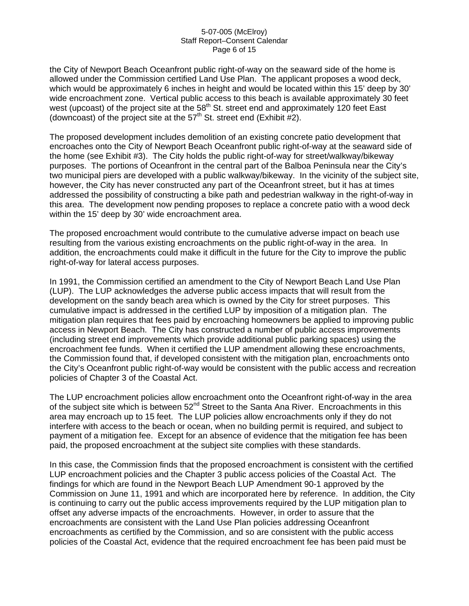#### 5-07-005 (McElroy) Staff Report–Consent Calendar Page 6 of 15

the City of Newport Beach Oceanfront public right-of-way on the seaward side of the home is allowed under the Commission certified Land Use Plan. The applicant proposes a wood deck, which would be approximately 6 inches in height and would be located within this 15' deep by 30' wide encroachment zone. Vertical public access to this beach is available approximately 30 feet west (upcoast) of the project site at the  $58<sup>th</sup>$  St. street end and approximately 120 feet East (downcoast) of the project site at the  $57<sup>th</sup>$  St. street end (Exhibit #2).

The proposed development includes demolition of an existing concrete patio development that encroaches onto the City of Newport Beach Oceanfront public right-of-way at the seaward side of the home (see Exhibit #3). The City holds the public right-of-way for street/walkway/bikeway purposes. The portions of Oceanfront in the central part of the Balboa Peninsula near the City's two municipal piers are developed with a public walkway/bikeway. In the vicinity of the subject site, however, the City has never constructed any part of the Oceanfront street, but it has at times addressed the possibility of constructing a bike path and pedestrian walkway in the right-of-way in this area. The development now pending proposes to replace a concrete patio with a wood deck within the 15' deep by 30' wide encroachment area.

The proposed encroachment would contribute to the cumulative adverse impact on beach use resulting from the various existing encroachments on the public right-of-way in the area. In addition, the encroachments could make it difficult in the future for the City to improve the public right-of-way for lateral access purposes.

In 1991, the Commission certified an amendment to the City of Newport Beach Land Use Plan (LUP). The LUP acknowledges the adverse public access impacts that will result from the development on the sandy beach area which is owned by the City for street purposes. This cumulative impact is addressed in the certified LUP by imposition of a mitigation plan. The mitigation plan requires that fees paid by encroaching homeowners be applied to improving public access in Newport Beach. The City has constructed a number of public access improvements (including street end improvements which provide additional public parking spaces) using the encroachment fee funds. When it certified the LUP amendment allowing these encroachments, the Commission found that, if developed consistent with the mitigation plan, encroachments onto the City's Oceanfront public right-of-way would be consistent with the public access and recreation policies of Chapter 3 of the Coastal Act.

The LUP encroachment policies allow encroachment onto the Oceanfront right-of-way in the area of the subject site which is between  $52^{nd}$  Street to the Santa Ana River. Encroachments in this area may encroach up to 15 feet. The LUP policies allow encroachments only if they do not interfere with access to the beach or ocean, when no building permit is required, and subject to payment of a mitigation fee. Except for an absence of evidence that the mitigation fee has been paid, the proposed encroachment at the subject site complies with these standards.

In this case, the Commission finds that the proposed encroachment is consistent with the certified LUP encroachment policies and the Chapter 3 public access policies of the Coastal Act. The findings for which are found in the Newport Beach LUP Amendment 90-1 approved by the Commission on June 11, 1991 and which are incorporated here by reference. In addition, the City is continuing to carry out the public access improvements required by the LUP mitigation plan to offset any adverse impacts of the encroachments. However, in order to assure that the encroachments are consistent with the Land Use Plan policies addressing Oceanfront encroachments as certified by the Commission, and so are consistent with the public access policies of the Coastal Act, evidence that the required encroachment fee has been paid must be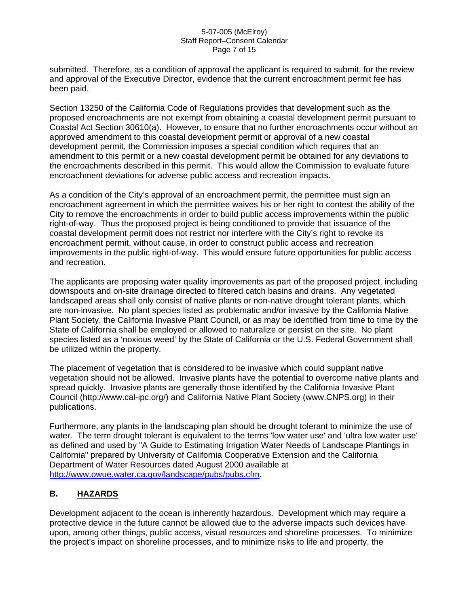#### 5-07-005 (McElroy) Staff Report–Consent Calendar Page 7 of 15

submitted. Therefore, as a condition of approval the applicant is required to submit, for the review and approval of the Executive Director, evidence that the current encroachment permit fee has been paid.

Section 13250 of the California Code of Regulations provides that development such as the proposed encroachments are not exempt from obtaining a coastal development permit pursuant to Coastal Act Section 30610(a). However, to ensure that no further encroachments occur without an approved amendment to this coastal development permit or approval of a new coastal development permit, the Commission imposes a special condition which requires that an amendment to this permit or a new coastal development permit be obtained for any deviations to the encroachments described in this permit. This would allow the Commission to evaluate future encroachment deviations for adverse public access and recreation impacts.

As a condition of the City's approval of an encroachment permit, the permittee must sign an encroachment agreement in which the permittee waives his or her right to contest the ability of the City to remove the encroachments in order to build public access improvements within the public right-of-way. Thus the proposed project is being conditioned to provide that issuance of the coastal development permit does not restrict nor interfere with the City's right to revoke its encroachment permit, without cause, in order to construct public access and recreation improvements in the public right-of-way. This would ensure future opportunities for public access and recreation.

The applicants are proposing water quality improvements as part of the proposed project, including downspouts and on-site drainage directed to filtered catch basins and drains. Any vegetated landscaped areas shall only consist of native plants or non-native drought tolerant plants, which are non-invasive. No plant species listed as problematic and/or invasive by the California Native Plant Society, the California Invasive Plant Council, or as may be identified from time to time by the State of California shall be employed or allowed to naturalize or persist on the site. No plant species listed as a 'noxious weed' by the State of California or the U.S. Federal Government shall be utilized within the property.

The placement of vegetation that is considered to be invasive which could supplant native vegetation should not be allowed. Invasive plants have the potential to overcome native plants and spread quickly. Invasive plants are generally those identified by the California Invasive Plant Council (http://www.cal-ipc.org/) and California Native Plant Society (www.CNPS.org) in their publications.

Furthermore, any plants in the landscaping plan should be drought tolerant to minimize the use of water. The term drought tolerant is equivalent to the terms 'low water use' and 'ultra low water use' as defined and used by "A Guide to Estimating Irrigation Water Needs of Landscape Plantings in California" prepared by University of California Cooperative Extension and the California Department of Water Resources dated August 2000 available at [http://www.owue.water.ca.gov/landscape/pubs/pubs.cfm.](http://www.owue.water.ca.gov/landscape/pubs/pubs.cfm)

### **B. HAZARDS**

Development adjacent to the ocean is inherently hazardous. Development which may require a protective device in the future cannot be allowed due to the adverse impacts such devices have upon, among other things, public access, visual resources and shoreline processes. To minimize the project's impact on shoreline processes, and to minimize risks to life and property, the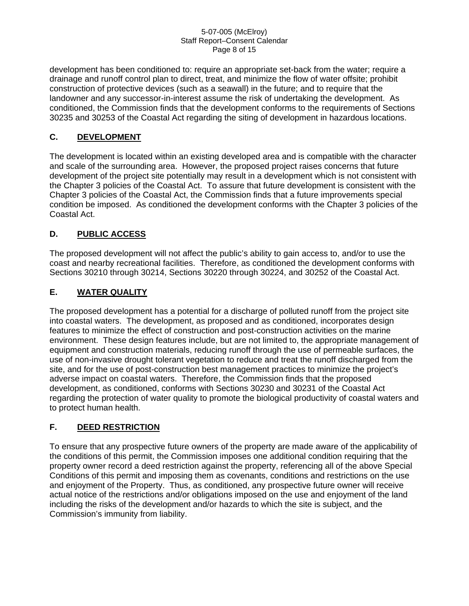#### 5-07-005 (McElroy) Staff Report–Consent Calendar Page 8 of 15

development has been conditioned to: require an appropriate set-back from the water; require a drainage and runoff control plan to direct, treat, and minimize the flow of water offsite; prohibit construction of protective devices (such as a seawall) in the future; and to require that the landowner and any successor-in-interest assume the risk of undertaking the development. As conditioned, the Commission finds that the development conforms to the requirements of Sections 30235 and 30253 of the Coastal Act regarding the siting of development in hazardous locations.

### **C. DEVELOPMENT**

The development is located within an existing developed area and is compatible with the character and scale of the surrounding area. However, the proposed project raises concerns that future development of the project site potentially may result in a development which is not consistent with the Chapter 3 policies of the Coastal Act. To assure that future development is consistent with the Chapter 3 policies of the Coastal Act, the Commission finds that a future improvements special condition be imposed. As conditioned the development conforms with the Chapter 3 policies of the Coastal Act.

### **D. PUBLIC ACCESS**

The proposed development will not affect the public's ability to gain access to, and/or to use the coast and nearby recreational facilities. Therefore, as conditioned the development conforms with Sections 30210 through 30214, Sections 30220 through 30224, and 30252 of the Coastal Act.

### **E. WATER QUALITY**

The proposed development has a potential for a discharge of polluted runoff from the project site into coastal waters. The development, as proposed and as conditioned, incorporates design features to minimize the effect of construction and post-construction activities on the marine environment. These design features include, but are not limited to, the appropriate management of equipment and construction materials, reducing runoff through the use of permeable surfaces, the use of non-invasive drought tolerant vegetation to reduce and treat the runoff discharged from the site, and for the use of post-construction best management practices to minimize the project's adverse impact on coastal waters. Therefore, the Commission finds that the proposed development, as conditioned, conforms with Sections 30230 and 30231 of the Coastal Act regarding the protection of water quality to promote the biological productivity of coastal waters and to protect human health.

### **F. DEED RESTRICTION**

To ensure that any prospective future owners of the property are made aware of the applicability of the conditions of this permit, the Commission imposes one additional condition requiring that the property owner record a deed restriction against the property, referencing all of the above Special Conditions of this permit and imposing them as covenants, conditions and restrictions on the use and enjoyment of the Property. Thus, as conditioned, any prospective future owner will receive actual notice of the restrictions and/or obligations imposed on the use and enjoyment of the land including the risks of the development and/or hazards to which the site is subject, and the Commission's immunity from liability.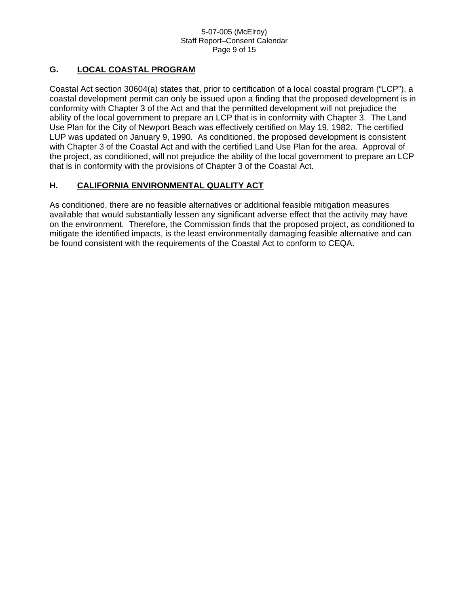#### 5-07-005 (McElroy) Staff Report–Consent Calendar Page 9 of 15

### **G. LOCAL COASTAL PROGRAM**

Coastal Act section 30604(a) states that, prior to certification of a local coastal program ("LCP"), a coastal development permit can only be issued upon a finding that the proposed development is in conformity with Chapter 3 of the Act and that the permitted development will not prejudice the ability of the local government to prepare an LCP that is in conformity with Chapter 3. The Land Use Plan for the City of Newport Beach was effectively certified on May 19, 1982. The certified LUP was updated on January 9, 1990. As conditioned, the proposed development is consistent with Chapter 3 of the Coastal Act and with the certified Land Use Plan for the area. Approval of the project, as conditioned, will not prejudice the ability of the local government to prepare an LCP that is in conformity with the provisions of Chapter 3 of the Coastal Act.

### **H. CALIFORNIA ENVIRONMENTAL QUALITY ACT**

As conditioned, there are no feasible alternatives or additional feasible mitigation measures available that would substantially lessen any significant adverse effect that the activity may have on the environment. Therefore, the Commission finds that the proposed project, as conditioned to mitigate the identified impacts, is the least environmentally damaging feasible alternative and can be found consistent with the requirements of the Coastal Act to conform to CEQA.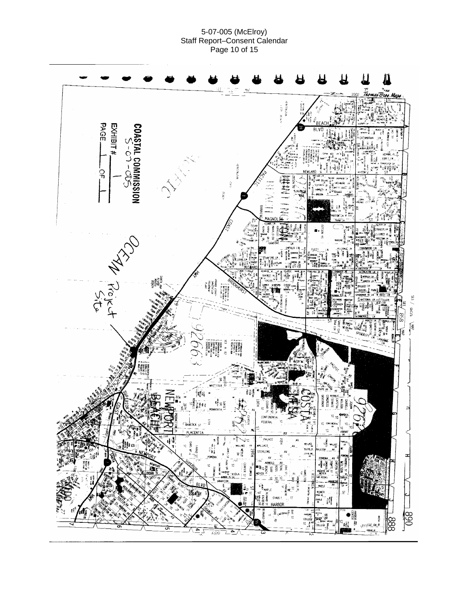#### 5-07-005 (McElroy) Staff Report–Consent Calendar Page 10 of 15

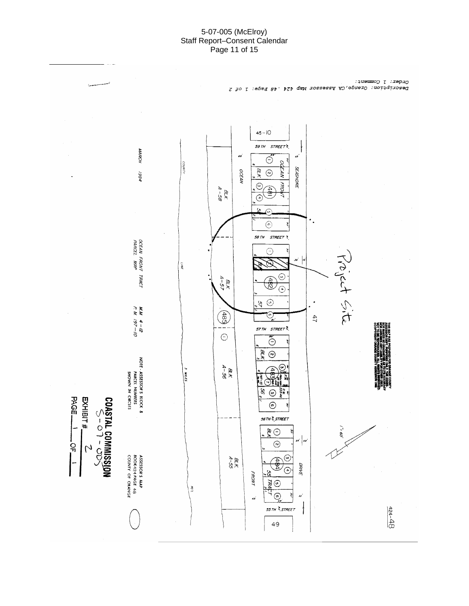#### 5-07-005 (McElroy) Staff Report–Consent Calendar Page 11 of 15

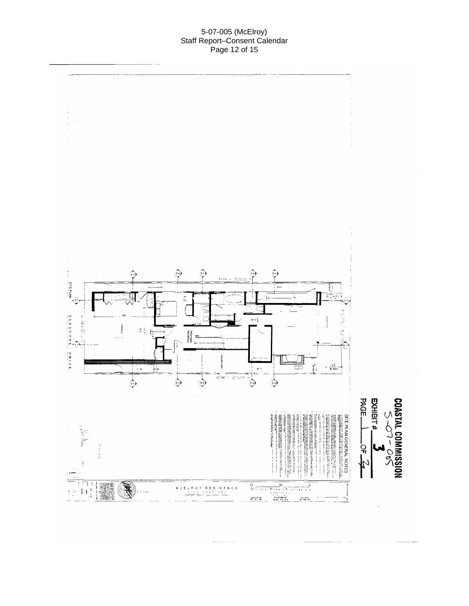#### 5-07-005 (McElroy) Staff Report–Consent Calendar Page 12 of 15

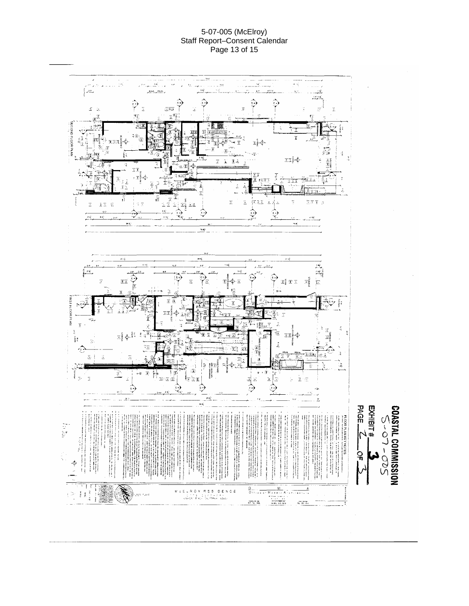#### 5-07-005 (McElroy) Staff Report–Consent Calendar Page 13 of 15

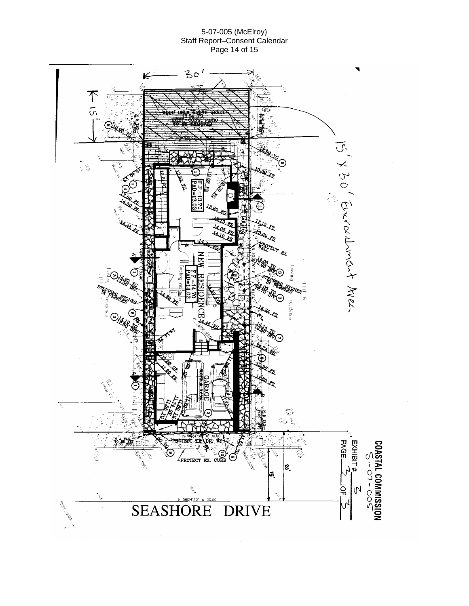#### 5-07-005 (McElroy) Staff Report–Consent Calendar Page 14 of 15